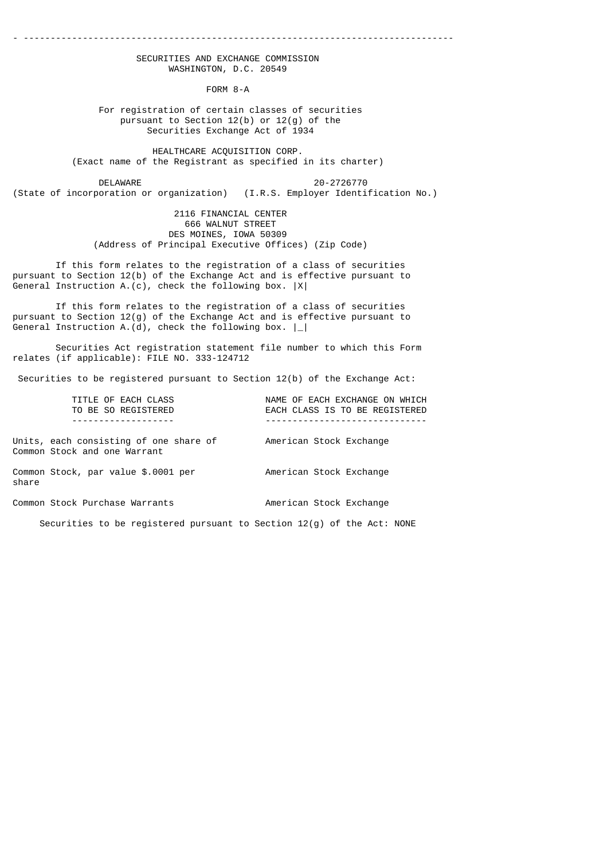### - --------------------------------------------------------------------------------

### SECURITIES AND EXCHANGE COMMISSION WASHINGTON, D.C. 20549

FORM 8-A

### For registration of certain classes of securities pursuant to Section 12(b) or 12(g) of the Securities Exchange Act of 1934

 HEALTHCARE ACQUISITION CORP. (Exact name of the Registrant as specified in its charter)

 DELAWARE 20-2726770 (State of incorporation or organization) (I.R.S. Employer Identification No.)

> 2116 FINANCIAL CENTER 666 WALNUT STREET DES MOINES, IOWA 50309 (Address of Principal Executive Offices) (Zip Code)

 If this form relates to the registration of a class of securities pursuant to Section 12(b) of the Exchange Act and is effective pursuant to General Instruction A.(c), check the following box. |X|

 If this form relates to the registration of a class of securities pursuant to Section 12(g) of the Exchange Act and is effective pursuant to General Instruction A. $(d)$ , check the following box.  $|$ 

 Securities Act registration statement file number to which this Form relates (if applicable): FILE NO. 333-124712

Securities to be registered pursuant to Section 12(b) of the Exchange Act:

| TITLE OF EACH CLASS                                                      | NAME OF EACH EXCHANGE ON WHICH |
|--------------------------------------------------------------------------|--------------------------------|
| TO BE SO REGISTERED                                                      | EACH CLASS IS TO BE REGISTERED |
|                                                                          |                                |
| Units, each consisting of one share of<br>Common Stock and one Warrant   | American Stock Exchange        |
| Common Stock, par value \$.0001 per<br>share                             | American Stock Exchange        |
| Common Stock Purchase Warrants                                           | American Stock Exchange        |
| Securities to be registered pursuant to Section $12(g)$ of the Act: NONE |                                |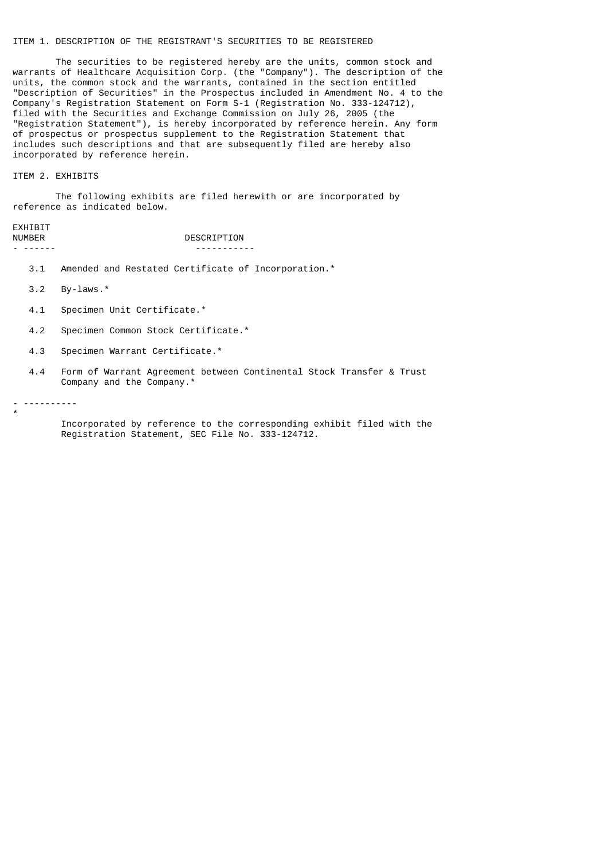## ITEM 1. DESCRIPTION OF THE REGISTRANT'S SECURITIES TO BE REGISTERED

 The securities to be registered hereby are the units, common stock and warrants of Healthcare Acquisition Corp. (the "Company"). The description of the units, the common stock and the warrants, contained in the section entitled "Description of Securities" in the Prospectus included in Amendment No. 4 to the Company's Registration Statement on Form S-1 (Registration No. 333-124712), filed with the Securities and Exchange Commission on July 26, 2005 (the "Registration Statement"), is hereby incorporated by reference herein. Any form of prospectus or prospectus supplement to the Registration Statement that includes such descriptions and that are subsequently filed are hereby also incorporated by reference herein.

ITEM 2. EXHIBITS

 The following exhibits are filed herewith or are incorporated by reference as indicated below.

# EXHIBIT<br>NUMBER

DESCRIPTION - ------ -----------

- 3.1 Amended and Restated Certificate of Incorporation.\*
- 3.2 By-laws.\*
- 4.1 Specimen Unit Certificate.\*
- 4.2 Specimen Common Stock Certificate.\*
- 4.3 Specimen Warrant Certificate.\*
- 4.4 Form of Warrant Agreement between Continental Stock Transfer & Trust Company and the Company.\*
- ----------

\*

 Incorporated by reference to the corresponding exhibit filed with the Registration Statement, SEC File No. 333-124712.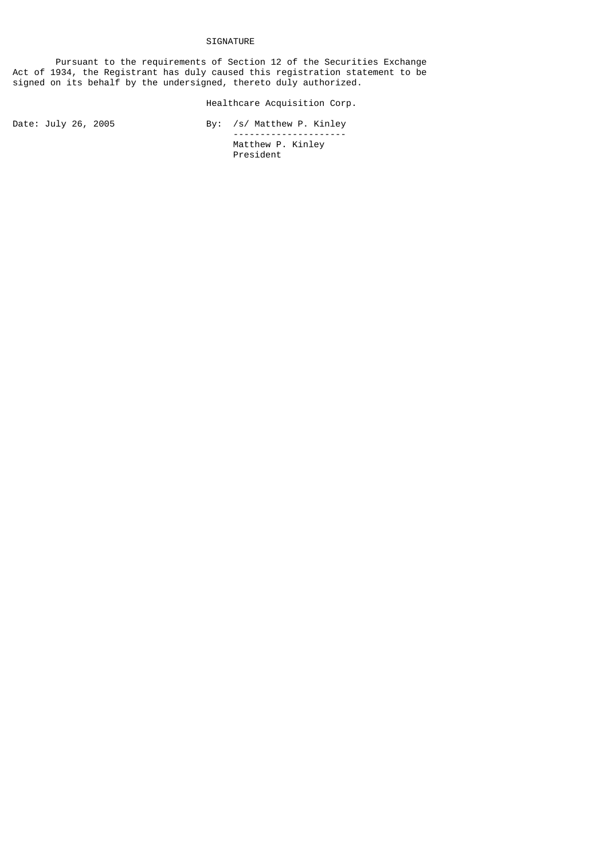## SIGNATURE

 Pursuant to the requirements of Section 12 of the Securities Exchange Act of 1934, the Registrant has duly caused this registration statement to be signed on its behalf by the undersigned, thereto duly authorized.

## Healthcare Acquisition Corp.

Date: July 26, 2005 By: /s/ Matthew P. Kinley --------------------- Matthew P. Kinley President